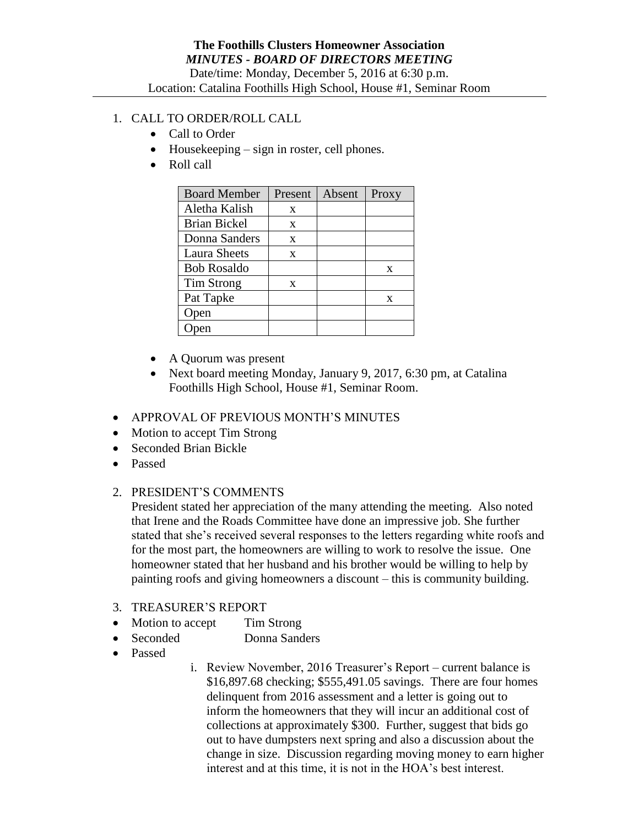## 1. CALL TO ORDER/ROLL CALL

- Call to Order
- Housekeeping sign in roster, cell phones.
- Roll call

| <b>Board Member</b> | Present | Absent | Proxy |
|---------------------|---------|--------|-------|
| Aletha Kalish       | X       |        |       |
| <b>Brian Bickel</b> | X       |        |       |
| Donna Sanders       | X       |        |       |
| Laura Sheets        | X       |        |       |
| <b>Bob Rosaldo</b>  |         |        | X     |
| Tim Strong          | X       |        |       |
| Pat Tapke           |         |        | X     |
| pen                 |         |        |       |
|                     |         |        |       |

- A Quorum was present
- Next board meeting Monday, January 9, 2017, 6:30 pm, at Catalina Foothills High School, House #1, Seminar Room.
- APPROVAL OF PREVIOUS MONTH'S MINUTES
- Motion to accept Tim Strong
- Seconded Brian Bickle
- Passed
- 2. PRESIDENT'S COMMENTS

President stated her appreciation of the many attending the meeting. Also noted that Irene and the Roads Committee have done an impressive job. She further stated that she's received several responses to the letters regarding white roofs and for the most part, the homeowners are willing to work to resolve the issue. One homeowner stated that her husband and his brother would be willing to help by painting roofs and giving homeowners a discount – this is community building.

- 3. TREASURER'S REPORT
- Motion to accept Tim Strong
- Seconded Donna Sanders
- Passed
- i. Review November, 2016 Treasurer's Report current balance is \$16,897.68 checking; \$555,491.05 savings. There are four homes delinquent from 2016 assessment and a letter is going out to inform the homeowners that they will incur an additional cost of collections at approximately \$300. Further, suggest that bids go out to have dumpsters next spring and also a discussion about the change in size. Discussion regarding moving money to earn higher interest and at this time, it is not in the HOA's best interest.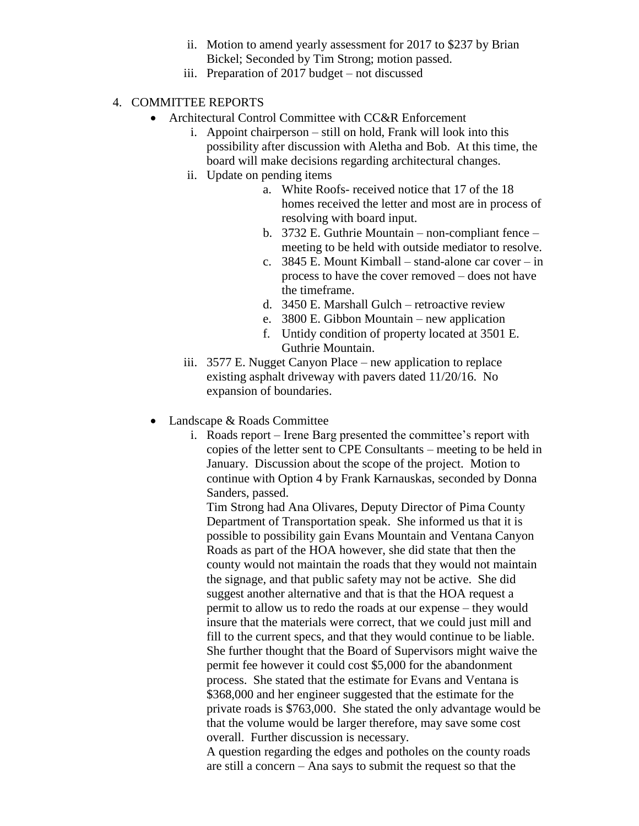- ii. Motion to amend yearly assessment for 2017 to \$237 by Brian Bickel; Seconded by Tim Strong; motion passed.
- iii. Preparation of 2017 budget not discussed

## 4. COMMITTEE REPORTS

- Architectural Control Committee with CC&R Enforcement
	- i. Appoint chairperson still on hold, Frank will look into this possibility after discussion with Aletha and Bob. At this time, the board will make decisions regarding architectural changes.
	- ii. Update on pending items
		- a. White Roofs- received notice that 17 of the 18 homes received the letter and most are in process of resolving with board input.
		- b. 3732 E. Guthrie Mountain non-compliant fence meeting to be held with outside mediator to resolve.
		- c. 3845 E. Mount Kimball stand-alone car cover in process to have the cover removed – does not have the timeframe.
		- d. 3450 E. Marshall Gulch retroactive review
		- e. 3800 E. Gibbon Mountain new application
		- f. Untidy condition of property located at 3501 E. Guthrie Mountain.
	- iii. 3577 E. Nugget Canyon Place new application to replace existing asphalt driveway with pavers dated 11/20/16. No expansion of boundaries.
- Landscape & Roads Committee
	- i. Roads report Irene Barg presented the committee's report with copies of the letter sent to CPE Consultants – meeting to be held in January. Discussion about the scope of the project. Motion to continue with Option 4 by Frank Karnauskas, seconded by Donna Sanders, passed.

Tim Strong had Ana Olivares, Deputy Director of Pima County Department of Transportation speak. She informed us that it is possible to possibility gain Evans Mountain and Ventana Canyon Roads as part of the HOA however, she did state that then the county would not maintain the roads that they would not maintain the signage, and that public safety may not be active. She did suggest another alternative and that is that the HOA request a permit to allow us to redo the roads at our expense – they would insure that the materials were correct, that we could just mill and fill to the current specs, and that they would continue to be liable. She further thought that the Board of Supervisors might waive the permit fee however it could cost \$5,000 for the abandonment process. She stated that the estimate for Evans and Ventana is \$368,000 and her engineer suggested that the estimate for the private roads is \$763,000. She stated the only advantage would be that the volume would be larger therefore, may save some cost overall. Further discussion is necessary.

A question regarding the edges and potholes on the county roads are still a concern – Ana says to submit the request so that the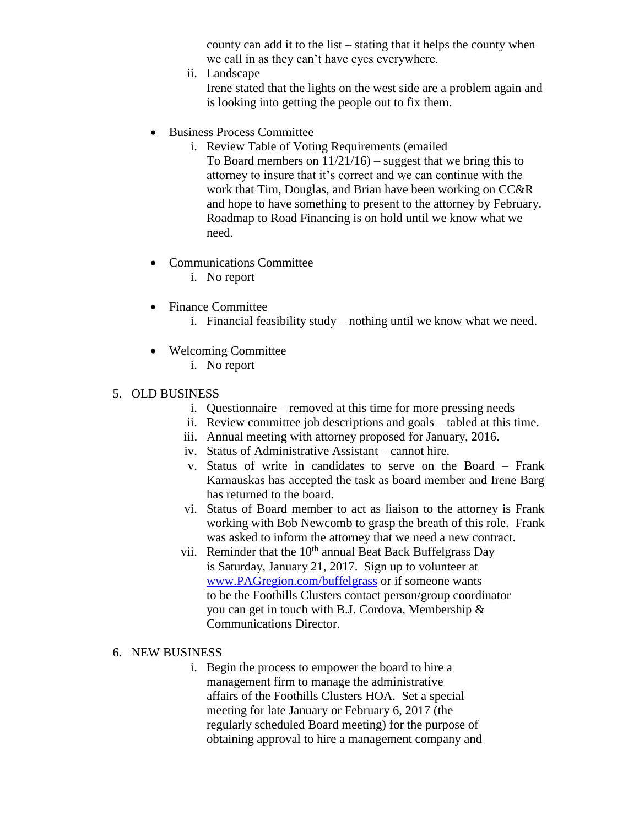county can add it to the list – stating that it helps the county when we call in as they can't have eyes everywhere.

ii. Landscape

Irene stated that the lights on the west side are a problem again and is looking into getting the people out to fix them.

- Business Process Committee
	- i. Review Table of Voting Requirements (emailed To Board members on  $11/21/16$ ) – suggest that we bring this to attorney to insure that it's correct and we can continue with the work that Tim, Douglas, and Brian have been working on CC&R and hope to have something to present to the attorney by February. Roadmap to Road Financing is on hold until we know what we need.
- Communications Committee
	- i. No report
- Finance Committee
	- i. Financial feasibility study nothing until we know what we need.
- Welcoming Committee
	- i. No report
- 5. OLD BUSINESS
	- i. Questionnaire removed at this time for more pressing needs
	- ii. Review committee job descriptions and goals tabled at this time.
	- iii. Annual meeting with attorney proposed for January, 2016.
	- iv. Status of Administrative Assistant cannot hire.
	- v. Status of write in candidates to serve on the Board Frank Karnauskas has accepted the task as board member and Irene Barg has returned to the board.
	- vi. Status of Board member to act as liaison to the attorney is Frank working with Bob Newcomb to grasp the breath of this role. Frank was asked to inform the attorney that we need a new contract.
	- vii. Reminder that the  $10<sup>th</sup>$  annual Beat Back Buffelgrass Day is Saturday, January 21, 2017. Sign up to volunteer at [www.PAGregion.com/buffelgrass](http://www.pagregion.com/buffelgrass) or if someone wants to be the Foothills Clusters contact person/group coordinator you can get in touch with B.J. Cordova, Membership & Communications Director.
- 6. NEW BUSINESS
	- i. Begin the process to empower the board to hire a management firm to manage the administrative affairs of the Foothills Clusters HOA. Set a special meeting for late January or February 6, 2017 (the regularly scheduled Board meeting) for the purpose of obtaining approval to hire a management company and